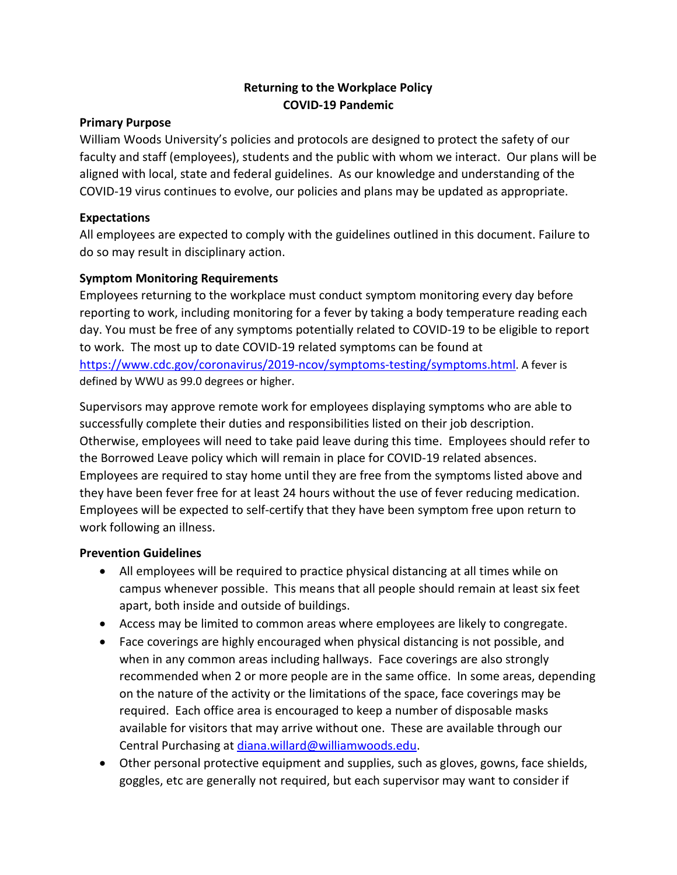## **Returning to the Workplace Policy COVID-19 Pandemic**

#### **Primary Purpose**

William Woods University's policies and protocols are designed to protect the safety of our faculty and staff (employees), students and the public with whom we interact. Our plans will be aligned with local, state and federal guidelines. As our knowledge and understanding of the COVID-19 virus continues to evolve, our policies and plans may be updated as appropriate.

#### **Expectations**

All employees are expected to comply with the guidelines outlined in this document. Failure to do so may result in disciplinary action.

### **Symptom Monitoring Requirements**

Employees returning to the workplace must conduct symptom monitoring every day before reporting to work, including monitoring for a fever by taking a body temperature reading each day. You must be free of any symptoms potentially related to COVID-19 to be eligible to report to work. The most up to date COVID-19 related symptoms can be found at [https://www.cdc.gov/coronavirus/2019-ncov/symptoms-testing/symptoms.html.](https://www.cdc.gov/coronavirus/2019-ncov/symptoms-testing/symptoms.html) A fever is defined by WWU as 99.0 degrees or higher.

Supervisors may approve remote work for employees displaying symptoms who are able to successfully complete their duties and responsibilities listed on their job description. Otherwise, employees will need to take paid leave during this time. Employees should refer to the Borrowed Leave policy which will remain in place for COVID-19 related absences. Employees are required to stay home until they are free from the symptoms listed above and they have been fever free for at least 24 hours without the use of fever reducing medication. Employees will be expected to self-certify that they have been symptom free upon return to work following an illness.

### **Prevention Guidelines**

- All employees will be required to practice physical distancing at all times while on campus whenever possible. This means that all people should remain at least six feet apart, both inside and outside of buildings.
- Access may be limited to common areas where employees are likely to congregate.
- Face coverings are highly encouraged when physical distancing is not possible, and when in any common areas including hallways. Face coverings are also strongly recommended when 2 or more people are in the same office. In some areas, depending on the nature of the activity or the limitations of the space, face coverings may be required. Each office area is encouraged to keep a number of disposable masks available for visitors that may arrive without one. These are available through our Central Purchasing at [diana.willard@williamwoods.edu.](mailto:diana.willard@williamwoods.edu)
- Other personal protective equipment and supplies, such as gloves, gowns, face shields, goggles, etc are generally not required, but each supervisor may want to consider if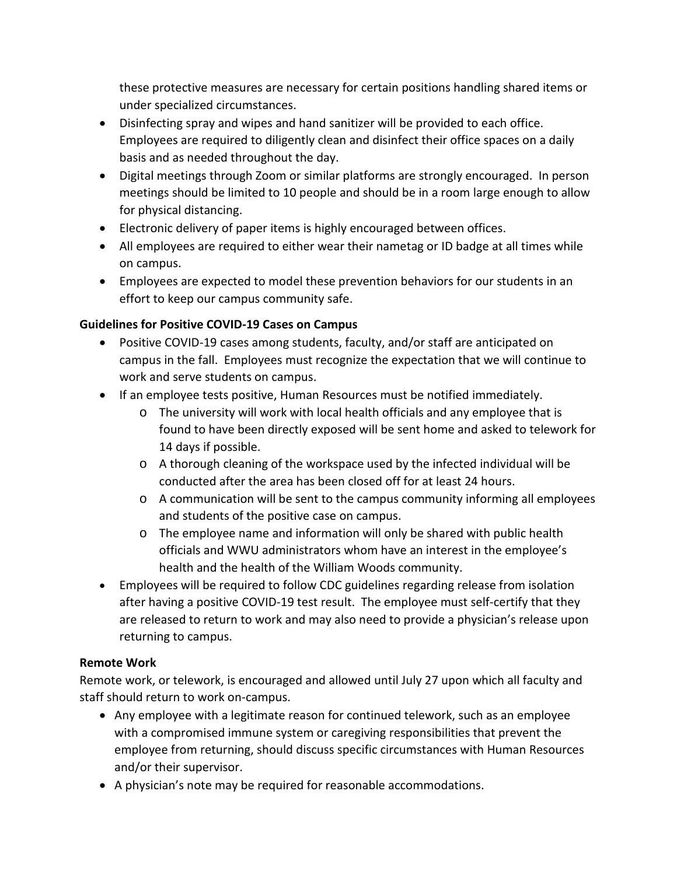these protective measures are necessary for certain positions handling shared items or under specialized circumstances.

- Disinfecting spray and wipes and hand sanitizer will be provided to each office. Employees are required to diligently clean and disinfect their office spaces on a daily basis and as needed throughout the day.
- Digital meetings through Zoom or similar platforms are strongly encouraged. In person meetings should be limited to 10 people and should be in a room large enough to allow for physical distancing.
- Electronic delivery of paper items is highly encouraged between offices.
- All employees are required to either wear their nametag or ID badge at all times while on campus.
- Employees are expected to model these prevention behaviors for our students in an effort to keep our campus community safe.

# **Guidelines for Positive COVID-19 Cases on Campus**

- Positive COVID-19 cases among students, faculty, and/or staff are anticipated on campus in the fall. Employees must recognize the expectation that we will continue to work and serve students on campus.
- If an employee tests positive, Human Resources must be notified immediately.
	- o The university will work with local health officials and any employee that is found to have been directly exposed will be sent home and asked to telework for 14 days if possible.
	- o A thorough cleaning of the workspace used by the infected individual will be conducted after the area has been closed off for at least 24 hours.
	- o A communication will be sent to the campus community informing all employees and students of the positive case on campus.
	- o The employee name and information will only be shared with public health officials and WWU administrators whom have an interest in the employee's health and the health of the William Woods community.
- Employees will be required to follow CDC guidelines regarding release from isolation after having a positive COVID-19 test result. The employee must self-certify that they are released to return to work and may also need to provide a physician's release upon returning to campus.

# **Remote Work**

Remote work, or telework, is encouraged and allowed until July 27 upon which all faculty and staff should return to work on-campus.

- Any employee with a legitimate reason for continued telework, such as an employee with a compromised immune system or caregiving responsibilities that prevent the employee from returning, should discuss specific circumstances with Human Resources and/or their supervisor.
- A physician's note may be required for reasonable accommodations.